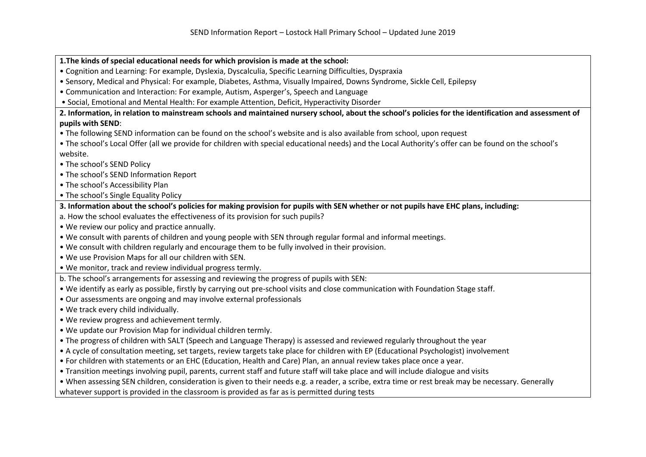**1.The kinds of special educational needs for which provision is made at the school:** 

- Cognition and Learning: For example, Dyslexia, Dyscalculia, Specific Learning Difficulties, Dyspraxia
- Sensory, Medical and Physical: For example, Diabetes, Asthma, Visually Impaired, Downs Syndrome, Sickle Cell, Epilepsy
- Communication and Interaction: For example, Autism, Asperger's, Speech and Language
- Social, Emotional and Mental Health: For example Attention, Deficit, Hyperactivity Disorder

## **2. Information, in relation to mainstream schools and maintained nursery school, about the school's policies for the identification and assessment of pupils with SEND**:

- The following SEND information can be found on the school's website and is also available from school, upon request
- The school's Local Offer (all we provide for children with special educational needs) and the Local Authority's offer can be found on the school's website.
- The school's SEND Policy
- The school's SEND Information Report
- The school's Accessibility Plan
- The school's Single Equality Policy
- **3. Information about the school's policies for making provision for pupils with SEN whether or not pupils have EHC plans, including:**
- a. How the school evaluates the effectiveness of its provision for such pupils?
- We review our policy and practice annually.
- We consult with parents of children and young people with SEN through regular formal and informal meetings.
- We consult with children regularly and encourage them to be fully involved in their provision.
- We use Provision Maps for all our children with SEN.
- We monitor, track and review individual progress termly.
- b. The school's arrangements for assessing and reviewing the progress of pupils with SEN:
- We identify as early as possible, firstly by carrying out pre-school visits and close communication with Foundation Stage staff.
- Our assessments are ongoing and may involve external professionals
- We track every child individually.
- We review progress and achievement termly.
- We update our Provision Map for individual children termly.
- The progress of children with SALT (Speech and Language Therapy) is assessed and reviewed regularly throughout the year
- A cycle of consultation meeting, set targets, review targets take place for children with EP (Educational Psychologist) involvement
- For children with statements or an EHC (Education, Health and Care) Plan, an annual review takes place once a year.
- Transition meetings involving pupil, parents, current staff and future staff will take place and will include dialogue and visits
- When assessing SEN children, consideration is given to their needs e.g. a reader, a scribe, extra time or rest break may be necessary. Generally

whatever support is provided in the classroom is provided as far as is permitted during tests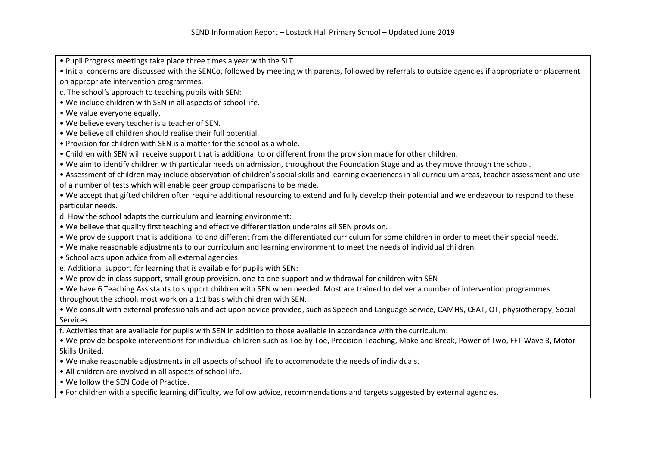• Pupil Progress meetings take place three times a year with the SLT.

 • Initial concerns are discussed with the SENCo, followed by meeting with parents, followed by referrals to outside agencies if appropriate or placement on appropriate intervention programmes.

c. The school's approach to teaching pupils with SEN:

• We include children with SEN in all aspects of school life.

• We value everyone equally.

• We believe every teacher is a teacher of SEN.

• We believe all children should realise their full potential.

• Provision for children with SEN is a matter for the school as a whole.

• Children with SEN will receive support that is additional to or different from the provision made for other children.

• We aim to identify children with particular needs on admission, throughout the Foundation Stage and as they move through the school.

• Assessment of children may include observation of children's social skills and learning experiences in all curriculum areas, teacher assessment and useof a number of tests which will enable peer group comparisons to be made.

• We accept that gifted children often require additional resourcing to extend and fully develop their potential and we endeavour to respond to these particular needs.

d. How the school adapts the curriculum and learning environment:

• We believe that quality first teaching and effective differentiation underpins all SEN provision.

• We provide support that is additional to and different from the differentiated curriculum for some children in order to meet their special needs.

• We make reasonable adjustments to our curriculum and learning environment to meet the needs of individual children.

• School acts upon advice from all external agencies

e. Additional support for learning that is available for pupils with SEN:

• We provide in class support, small group provision, one to one support and withdrawal for children with SEN

• We have 6 Teaching Assistants to support children with SEN when needed. Most are trained to deliver a number of intervention programmes throughout the school, most work on a 1:1 basis with children with SEN.

• We consult with external professionals and act upon advice provided, such as Speech and Language Service, CAMHS, CEAT, OT, physiotherapy, Social Services

f. Activities that are available for pupils with SEN in addition to those available in accordance with the curriculum:

• We provide bespoke interventions for individual children such as Toe by Toe, Precision Teaching, Make and Break, Power of Two, FFT Wave 3, Motor Skills United.

• We make reasonable adjustments in all aspects of school life to accommodate the needs of individuals.

• All children are involved in all aspects of school life.

• We follow the SEN Code of Practice.

• For children with a specific learning difficulty, we follow advice, recommendations and targets suggested by external agencies.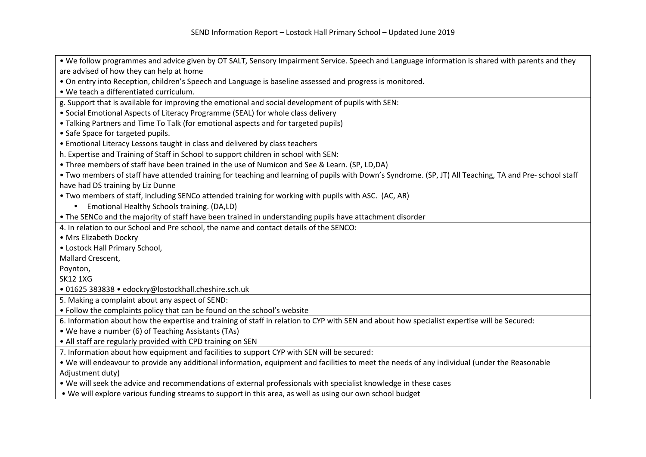• We follow programmes and advice given by OT SALT, Sensory Impairment Service. Speech and Language information is shared with parents and they are advised of how they can help at home • On entry into Reception, children's Speech and Language is baseline assessed and progress is monitored. • We teach a differentiated curriculum. g. Support that is available for improving the emotional and social development of pupils with SEN: • Social Emotional Aspects of Literacy Programme (SEAL) for whole class delivery • Talking Partners and Time To Talk (for emotional aspects and for targeted pupils) • Safe Space for targeted pupils. • Emotional Literacy Lessons taught in class and delivered by class teachers h. Expertise and Training of Staff in School to support children in school with SEN: • Three members of staff have been trained in the use of Numicon and See & Learn. (SP, LD,DA) • Two members of staff have attended training for teaching and learning of pupils with Down's Syndrome. (SP, JT) All Teaching, TA and Pre- school staff have had DS training by Liz Dunne • Two members of staff, including SENCo attended training for working with pupils with ASC. (AC, AR) • Emotional Healthy Schools training. (DA,LD) • The SENCo and the majority of staff have been trained in understanding pupils have attachment disorder 4. In relation to our School and Pre school, the name and contact details of the SENCO: • Mrs Elizabeth Dockry • Lostock Hall Primary School, Mallard Crescent, Poynton, SK12 1XG • 01625 383838 • edockry@lostockhall.cheshire.sch.uk 5. Making a complaint about any aspect of SEND: • Follow the complaints policy that can be found on the school's website 6. Information about how the expertise and training of staff in relation to CYP with SEN and about how specialist expertise will be Secured: • We have a number (6) of Teaching Assistants (TAs) • All staff are regularly provided with CPD training on SEN 7. Information about how equipment and facilities to support CYP with SEN will be secured: • We will endeavour to provide any additional information, equipment and facilities to meet the needs of any individual (under the Reasonable Adjustment duty) • We will seek the advice and recommendations of external professionals with specialist knowledge in these cases

• We will explore various funding streams to support in this area, as well as using our own school budget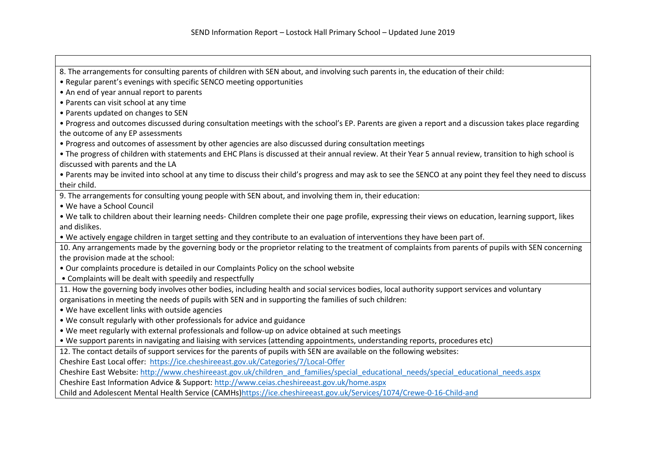8. The arrangements for consulting parents of children with SEN about, and involving such parents in, the education of their child: • Regular parent's evenings with specific SENCO meeting opportunities • An end of year annual report to parents • Parents can visit school at any time • Parents updated on changes to SEN • Progress and outcomes discussed during consultation meetings with the school's EP. Parents are given a report and a discussion takes place regarding the outcome of any EP assessments • Progress and outcomes of assessment by other agencies are also discussed during consultation meetings • The progress of children with statements and EHC Plans is discussed at their annual review. At their Year 5 annual review, transition to high school is discussed with parents and the LA • Parents may be invited into school at any time to discuss their child's progress and may ask to see the SENCO at any point they feel they need to discuss their child. 9. The arrangements for consulting young people with SEN about, and involving them in, their education:• We have a School Council • We talk to children about their learning needs- Children complete their one page profile, expressing their views on education, learning support, likes and dislikes. • We actively engage children in target setting and they contribute to an evaluation of interventions they have been part of. 10. Any arrangements made by the governing body or the proprietor relating to the treatment of complaints from parents of pupils with SEN concerning the provision made at the school: • Our complaints procedure is detailed in our Complaints Policy on the school website • Complaints will be dealt with speedily and respectfully 11. How the governing body involves other bodies, including health and social services bodies, local authority support services and voluntary organisations in meeting the needs of pupils with SEN and in supporting the families of such children:• We have excellent links with outside agencies • We consult regularly with other professionals for advice and guidance • We meet regularly with external professionals and follow-up on advice obtained at such meetings • We support parents in navigating and liaising with services (attending appointments, understanding reports, procedures etc) 12. The contact details of support services for the parents of pupils with SEN are available on the following websites:Cheshire East Local offer: https://ice.cheshireeast.gov.uk/Categories/7/Local-OfferCheshire East Website: http://www.cheshireeast.gov.uk/children\_and\_families/special\_educational\_needs/special\_educational\_needs.aspx Cheshire East Information Advice & Support: http://www.ceias.cheshireeast.gov.uk/home.aspxChild and Adolescent Mental Health Service (CAMHs)https://ice.cheshireeast.gov.uk/Services/1074/Crewe-0-16-Child-and